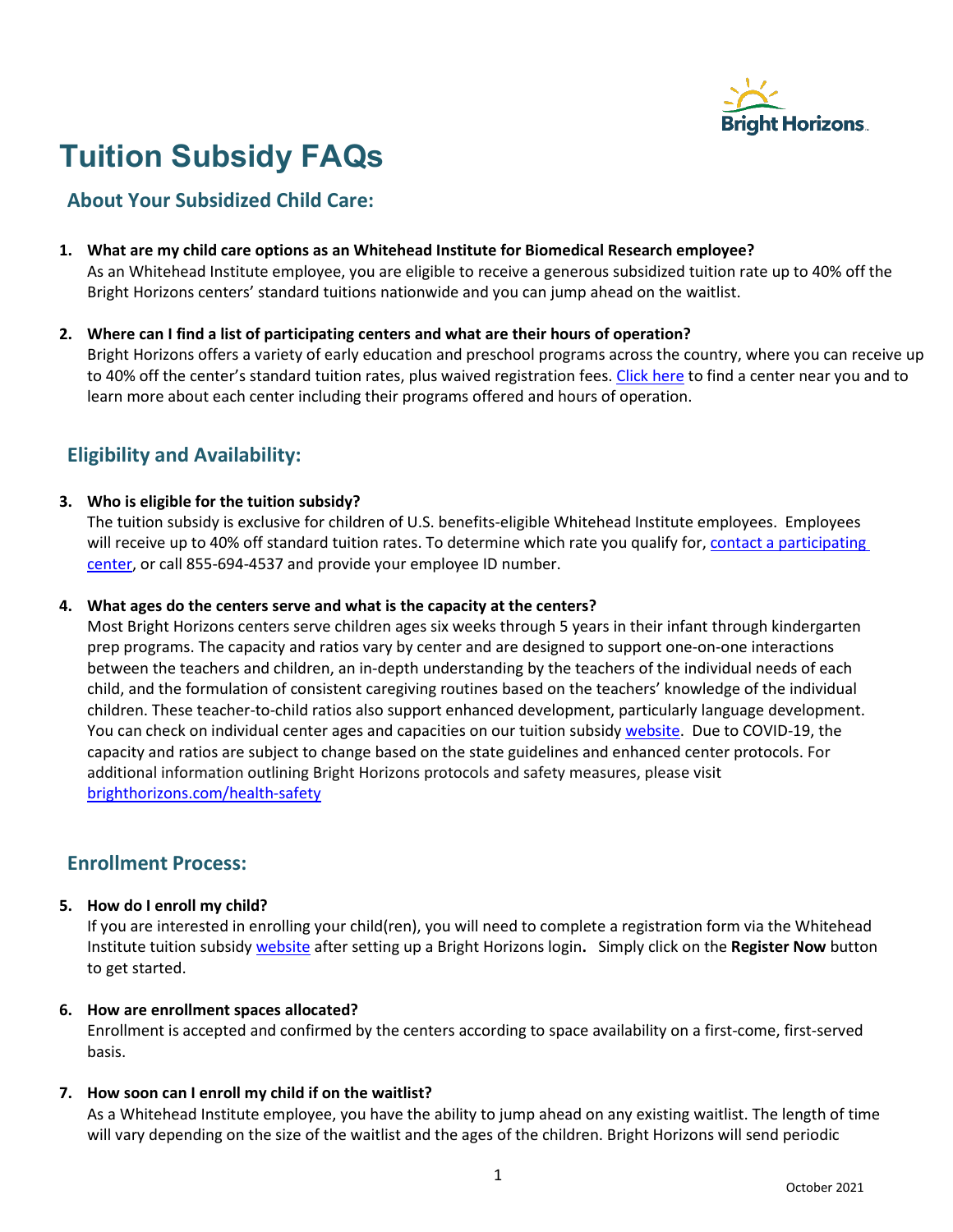

# **Tuition Subsidy FAQs**

# **About Your Subsidized Child Care:**

- **1. What are my child care options as an Whitehead Institute for Biomedical Research employee?** As an Whitehead Institute employee, you are eligible to receive a generous subsidized tuition rate up to 40% off the Bright Horizons centers' standard tuitions nationwide and you can jump ahead on the waitlist.
- **2. Where can I find a list of participating centers and what are their hours of operation?** Bright Horizons offers a variety of early education and preschool programs across the country, where you can receive up to 40% off the center's standard tuition rates, plus waived registration fees. [Click here](https://www.brighthorizons.com/boston/boston-child-care) to find a center near you and to learn more about each center including their programs offered and hours of operation.

# **Eligibility and Availability:**

#### **3. Who is eligible for the tuition subsidy?**

The tuition subsidy is exclusive for children of U.S. benefits-eligible Whitehead Institute employees. Employees will receive up to 40% off standard tuition rates. To determine which rate you qualify for, contact a participating [center,](https://www.brighthorizons.com/boston/boston-child-care) or call 855-694-4537 and provide your employee ID number.

#### **4. What ages do the centers serve and what is the capacity at the centers?**

Most Bright Horizons centers serve children ages six weeks through 5 years in their infant through kindergarten prep programs. The capacity and ratios vary by center and are designed to support one-on-one interactions between the teachers and children, an in-depth understanding by the teachers of the individual needs of each child, and the formulation of consistent caregiving routines based on the teachers' knowledge of the individual children. These teacher-to-child ratios also support enhanced development, particularly language development. You can check on individual center ages and capacities on our tuition subsidy [website.](https://www.brighthorizons.com/benefits/whitehead-pa) Due to COVID-19, the capacity and ratios are subject to change based on the state guidelines and enhanced center protocols. For additional information outlining Bright Horizons protocols and safety measures, please visit [brighthorizons.com/health-safety](https://www.brighthorizons.com/text-pages/health-safety)

### **Enrollment Process:**

#### **5. How do I enroll my child?**

If you are interested in enrolling your child(ren), you will need to complete a registration form via the Whitehead Institute tuition subsidy [website](https://www.brighthorizons.com/benefits/whitehead-pa) after setting up a Bright Horizons login**.** Simply click on the **Register Now** button to get started.

#### **6. How are enrollment spaces allocated?**

Enrollment is accepted and confirmed by the centers according to space availability on a first-come, first-served basis.

#### **7. How soon can I enroll my child if on the waitlist?**

As a Whitehead Institute employee, you have the ability to jump ahead on any existing waitlist. The length of time will vary depending on the size of the waitlist and the ages of the children. Bright Horizons will send periodic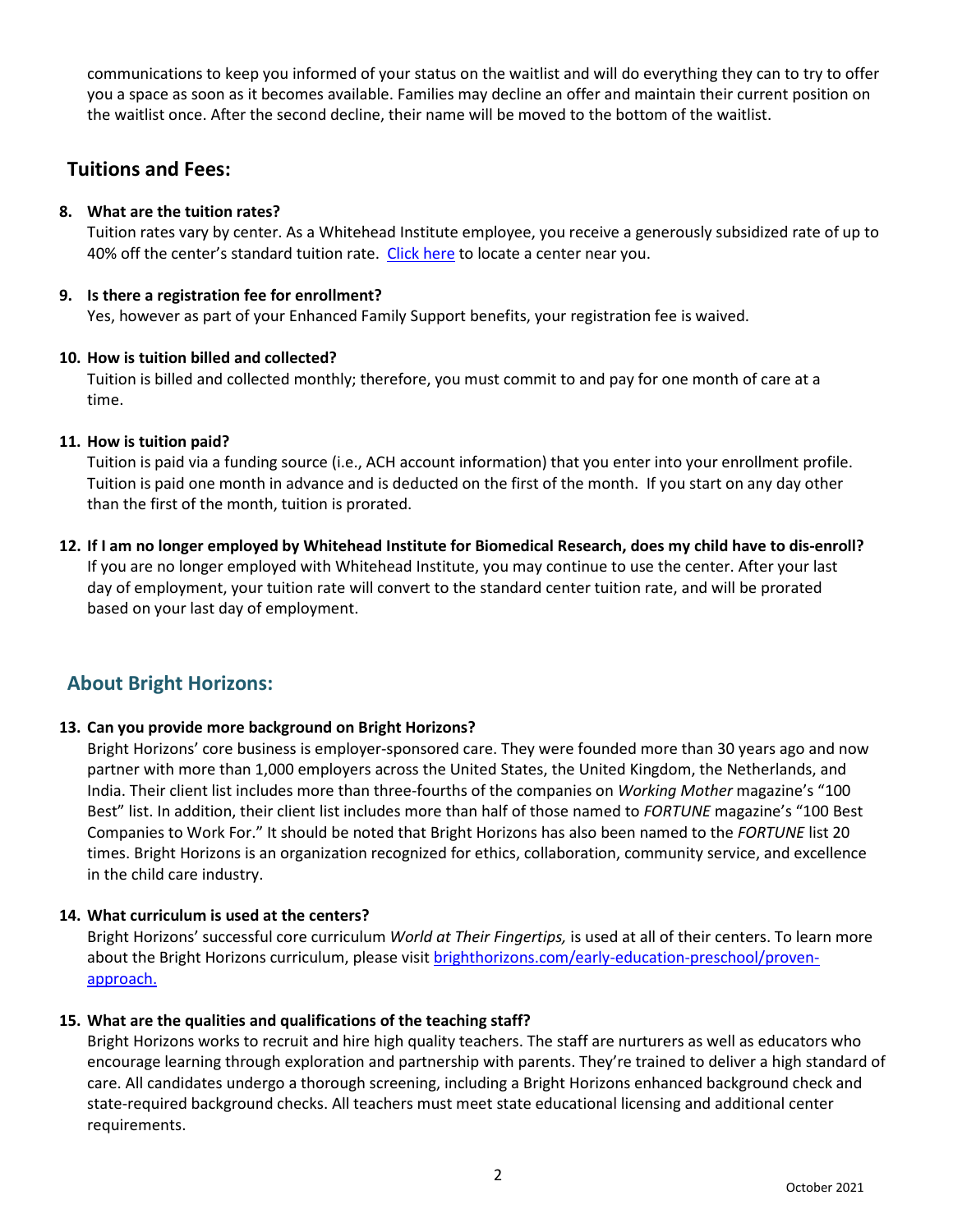communications to keep you informed of your status on the waitlist and will do everything they can to try to offer you a space as soon as it becomes available. Families may decline an offer and maintain their current position on the waitlist once. After the second decline, their name will be moved to the bottom of the waitlist.

## **Tuitions and Fees:**

#### **8. What are the tuition rates?**

Tuition rates vary by center. As a Whitehead Institute employee, you receive a generously subsidized rate of up to 40% off the center's standard tuition rate. [Click here](https://www.brighthorizons.com/boston/boston-child-care) to locate a center near you.

#### **9. Is there a registration fee for enrollment?**

Yes, however as part of your Enhanced Family Support benefits, your registration fee is waived.

#### **10. How is tuition billed and collected?**

Tuition is billed and collected monthly; therefore, you must commit to and pay for one month of care at a time.

#### **11. How is tuition paid?**

Tuition is paid via a funding source (i.e., ACH account information) that you enter into your enrollment profile. Tuition is paid one month in advance and is deducted on the first of the month. If you start on any day other than the first of the month, tuition is prorated.

**12. If I am no longer employed by Whitehead Institute for Biomedical Research, does my child have to dis-enroll?**  If you are no longer employed with Whitehead Institute, you may continue to use the center. After your last day of employment, your tuition rate will convert to the standard center tuition rate, and will be prorated based on your last day of employment.

# **About Bright Horizons:**

#### **13. Can you provide more background on Bright Horizons?**

Bright Horizons' core business is employer-sponsored care. They were founded more than 30 years ago and now partner with more than 1,000 employers across the United States, the United Kingdom, the Netherlands, and India. Their client list includes more than three-fourths of the companies on *Working Mother* magazine's "100 Best" list. In addition, their client list includes more than half of those named to *FORTUNE* magazine's "100 Best Companies to Work For." It should be noted that Bright Horizons has also been named to the *FORTUNE* list 20 times. Bright Horizons is an organization recognized for ethics, collaboration, community service, and excellence in the child care industry.

#### **14. What curriculum is used at the centers?**

Bright Horizons' successful core curriculum *World at Their Fingertips,* is used at all of their centers. To learn more about the Bright Horizons curriculum, please visi[t brighthorizons.com/early-education-preschool/proven](https://www.brighthorizons.com/early-education-preschool/proven-approach)[approach.](https://www.brighthorizons.com/early-education-preschool/proven-approach)

#### **15. What are the qualities and qualifications of the teaching staff?**

Bright Horizons works to recruit and hire high quality teachers. The staff are nurturers as well as educators who encourage learning through exploration and partnership with parents. They're trained to deliver a high standard of care. All candidates undergo a thorough screening, including a Bright Horizons enhanced background check and state-required background checks. All teachers must meet state educational licensing and additional center requirements.